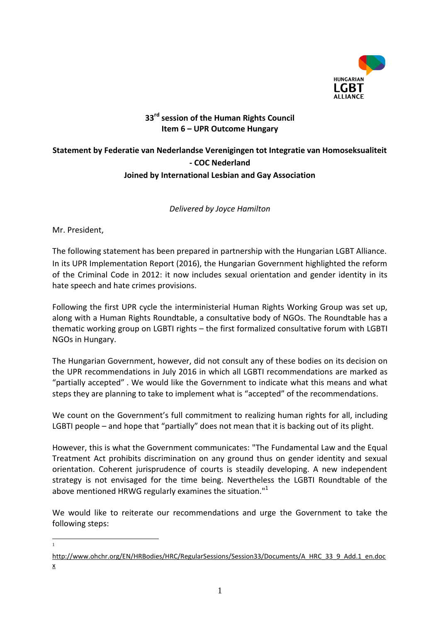

## **33rd session of the Human Rights Council Item 6 – UPR Outcome Hungary**

## **Statement by Federatie van Nederlandse Verenigingen tot Integratie van Homoseksualiteit - COC Nederland Joined by International Lesbian and Gay Association**

*Delivered by Joyce Hamilton*

Mr. President,

The following statement has been prepared in partnership with the Hungarian LGBT Alliance. In its UPR Implementation Report (2016), the Hungarian Government highlighted the reform of the Criminal Code in 2012: it now includes sexual orientation and gender identity in its hate speech and hate crimes provisions.

Following the first UPR cycle the interministerial Human Rights Working Group was set up, along with a Human Rights Roundtable, a consultative body of NGOs. The Roundtable has a thematic working group on LGBTI rights – the first formalized consultative forum with LGBTI NGOs in Hungary.

The Hungarian Government, however, did not consult any of these bodies on its decision on the UPR recommendations in July 2016 in which all LGBTI recommendations are marked as "partially accepted" . We would like the Government to indicate what this means and what steps they are planning to take to implement what is "accepted" of the recommendations.

We count on the Government's full commitment to realizing human rights for all, including LGBTI people – and hope that "partially" does not mean that it is backing out of its plight.

However, this is what the Government communicates: "The Fundamental Law and the Equal Treatment Act prohibits discrimination on any ground thus on gender identity and sexual orientation. Coherent jurisprudence of courts is steadily developing. A new independent strategy is not envisaged for the time being. Nevertheless the LGBTI Roundtable of the above mentioned HRWG regularly examines the situation."<sup>1</sup>

We would like to reiterate our recommendations and urge the Government to take the following steps:

<sup>1</sup> 1

[http://www.ohchr.org/EN/HRBodies/HRC/RegularSessions/Session33/Documents/A\\_HRC\\_33\\_9\\_Add.1\\_en.doc](http://www.ohchr.org/EN/HRBodies/HRC/RegularSessions/Session33/Documents/A_HRC_33_9_Add.1_en.docx) [x](http://www.ohchr.org/EN/HRBodies/HRC/RegularSessions/Session33/Documents/A_HRC_33_9_Add.1_en.docx)